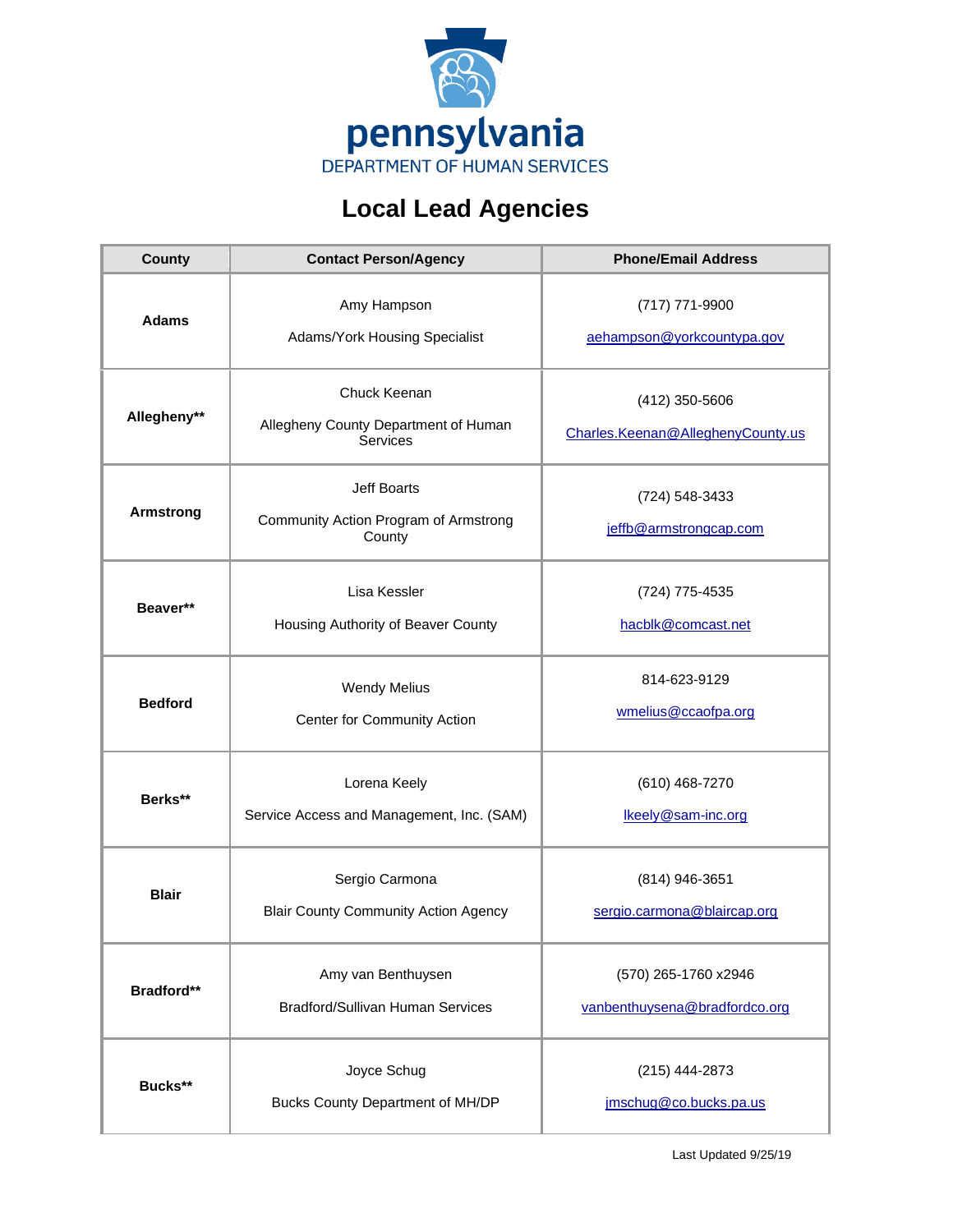

## **Local Lead Agencies**

| <b>County</b>     | <b>Contact Person/Agency</b>                                            | <b>Phone/Email Address</b>                            |
|-------------------|-------------------------------------------------------------------------|-------------------------------------------------------|
| <b>Adams</b>      | Amy Hampson<br>Adams/York Housing Specialist                            | (717) 771-9900<br>aehampson@yorkcountypa.gov          |
| Allegheny**       | Chuck Keenan<br>Allegheny County Department of Human<br><b>Services</b> | (412) 350-5606<br>Charles.Keenan@AlleghenyCounty.us   |
| <b>Armstrong</b>  | Jeff Boarts<br>Community Action Program of Armstrong<br>County          | (724) 548-3433<br>jeffb@armstrongcap.com              |
| Beaver**          | Lisa Kessler<br>Housing Authority of Beaver County                      | (724) 775-4535<br>hacblk@comcast.net                  |
| <b>Bedford</b>    | <b>Wendy Melius</b><br>Center for Community Action                      | 814-623-9129<br>wmelius@ccaofpa.org                   |
| Berks**           | Lorena Keely<br>Service Access and Management, Inc. (SAM)               | (610) 468-7270<br>Ikeely@sam-inc.org                  |
| <b>Blair</b>      | Sergio Carmona<br><b>Blair County Community Action Agency</b>           | (814) 946-3651<br>sergio.carmona@blaircap.org         |
| <b>Bradford**</b> | Amy van Benthuysen<br><b>Bradford/Sullivan Human Services</b>           | (570) 265-1760 x2946<br>vanbenthuysena@bradfordco.org |
| Bucks**           | Joyce Schug<br>Bucks County Department of MH/DP                         | (215) 444-2873<br>jmschug@co.bucks.pa.us              |

Last Updated 9/25/19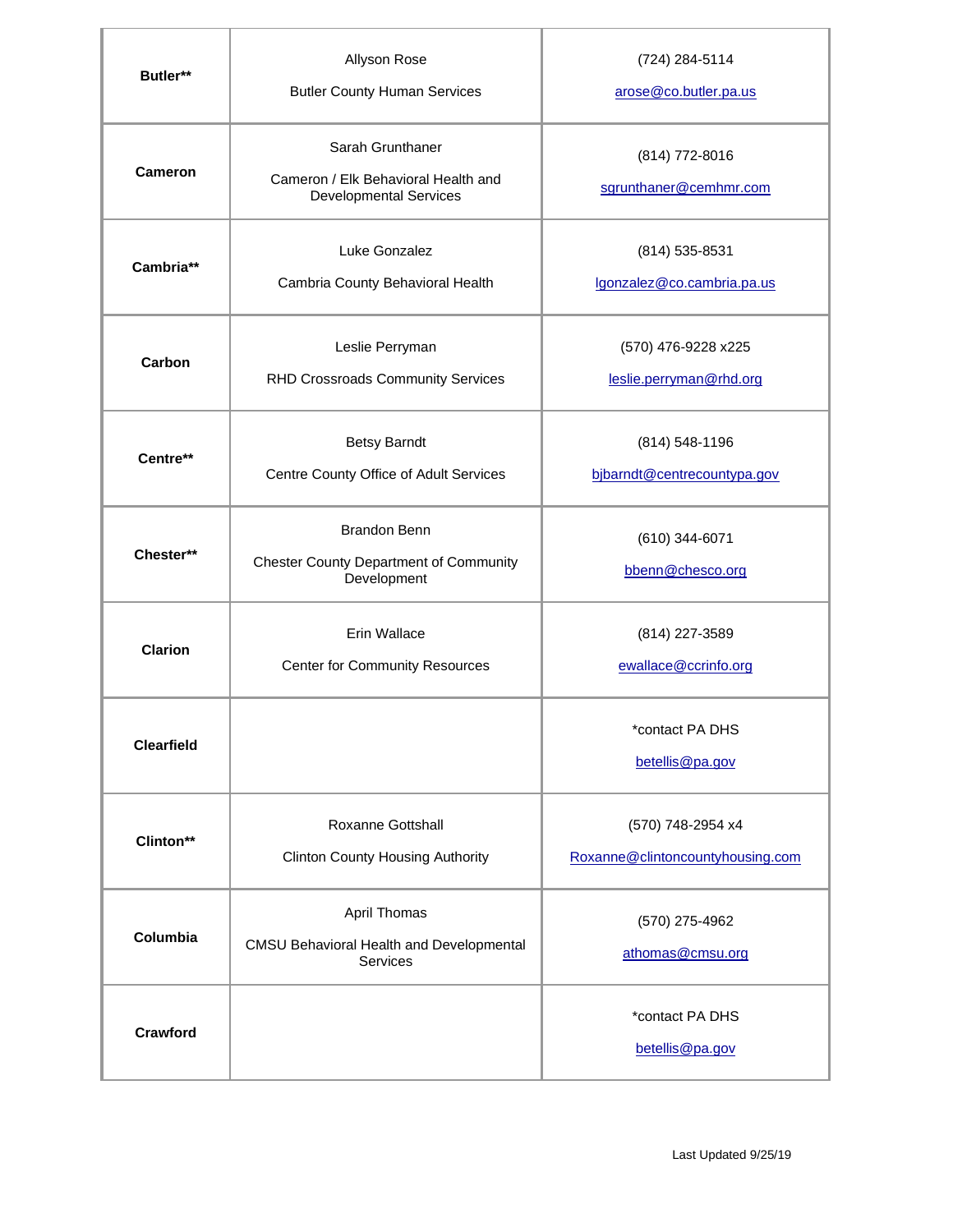| Butler**          | Allyson Rose<br><b>Butler County Human Services</b>                                      | (724) 284-5114<br>arose@co.butler.pa.us               |
|-------------------|------------------------------------------------------------------------------------------|-------------------------------------------------------|
| <b>Cameron</b>    | Sarah Grunthaner<br>Cameron / Elk Behavioral Health and<br><b>Developmental Services</b> | (814) 772-8016<br>sgrunthaner@cemhmr.com              |
| Cambria**         | Luke Gonzalez<br>Cambria County Behavioral Health                                        | (814) 535-8531<br>lgonzalez@co.cambria.pa.us          |
| Carbon            | Leslie Perryman<br>RHD Crossroads Community Services                                     | (570) 476-9228 x225<br>leslie.perryman@rhd.org        |
| Centre**          | <b>Betsy Barndt</b><br>Centre County Office of Adult Services                            | (814) 548-1196<br>bjbarndt@centrecountypa.gov         |
| Chester**         | <b>Brandon Benn</b><br><b>Chester County Department of Community</b><br>Development      | (610) 344-6071<br>bbenn@chesco.org                    |
| <b>Clarion</b>    | Erin Wallace<br><b>Center for Community Resources</b>                                    | (814) 227-3589<br>ewallace@ccrinfo.org                |
| <b>Clearfield</b> |                                                                                          | *contact PA DHS<br>betellis@pa.gov                    |
| Clinton**         | Roxanne Gottshall<br><b>Clinton County Housing Authority</b>                             | (570) 748-2954 x4<br>Roxanne@clintoncountyhousing.com |
| Columbia          | April Thomas<br>CMSU Behavioral Health and Developmental<br>Services                     | (570) 275-4962<br>athomas@cmsu.org                    |
| Crawford          |                                                                                          | *contact PA DHS<br>betellis@pa.gov                    |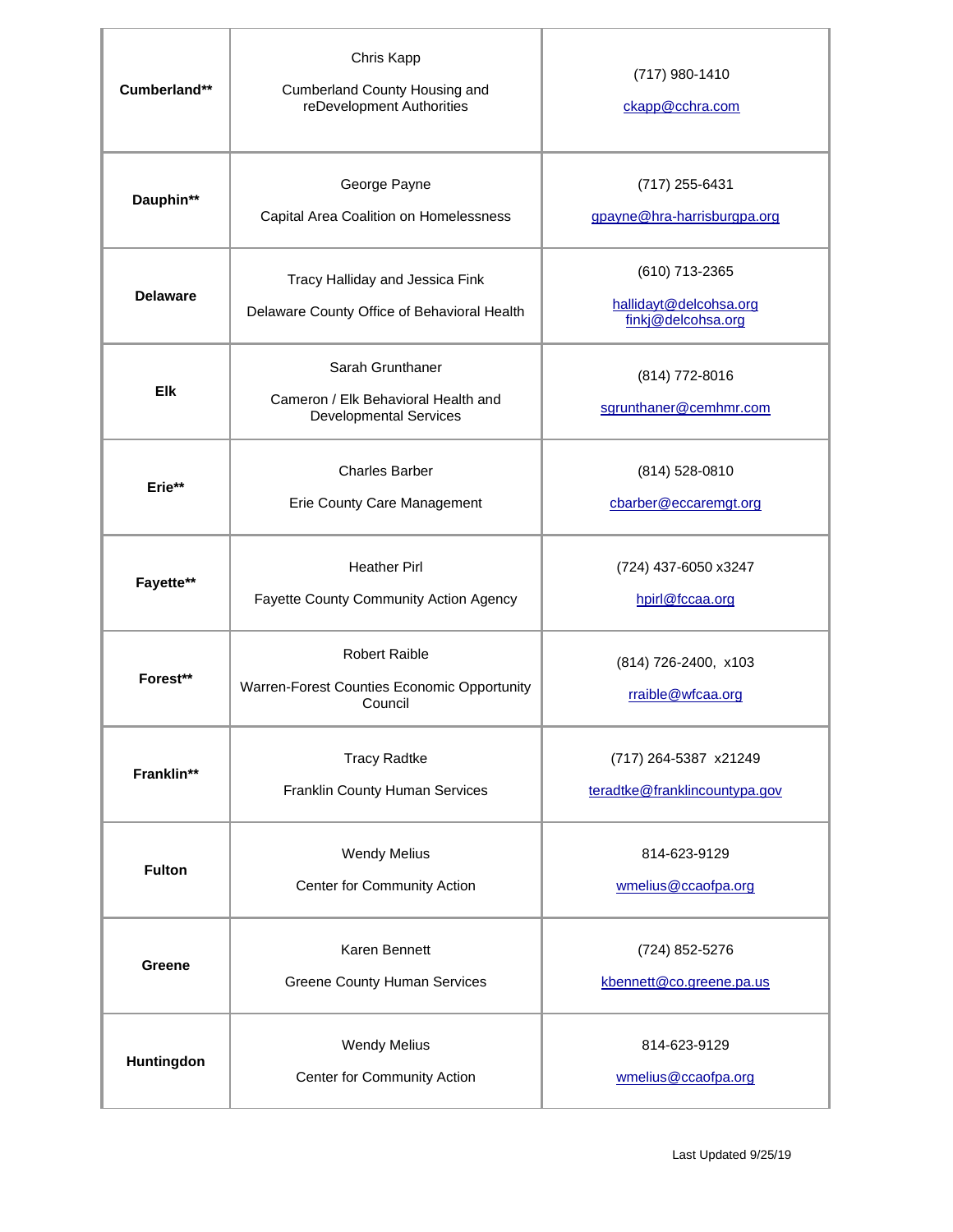| Cumberland**    | Chris Kapp<br>Cumberland County Housing and<br>reDevelopment Authorities                 | (717) 980-1410<br>ckapp@cchra.com                              |
|-----------------|------------------------------------------------------------------------------------------|----------------------------------------------------------------|
| Dauphin**       | George Payne<br>Capital Area Coalition on Homelessness                                   | (717) 255-6431<br>gpayne@hra-harrisburgpa.org                  |
| <b>Delaware</b> | Tracy Halliday and Jessica Fink<br>Delaware County Office of Behavioral Health           | (610) 713-2365<br>hallidayt@delcohsa.org<br>finkj@delcohsa.org |
| Elk             | Sarah Grunthaner<br>Cameron / Elk Behavioral Health and<br><b>Developmental Services</b> | (814) 772-8016<br>sgrunthaner@cemhmr.com                       |
| Erie**          | <b>Charles Barber</b><br>Erie County Care Management                                     | (814) 528-0810<br>cbarber@eccaremgt.org                        |
| Fayette**       | <b>Heather Pirl</b><br>Fayette County Community Action Agency                            | (724) 437-6050 x3247<br>hpirl@fccaa.org                        |
| Forest**        | <b>Robert Raible</b><br>Warren-Forest Counties Economic Opportunity<br>Council           | (814) 726-2400, x103<br>rraible@wfcaa.org                      |
| Franklin**      | <b>Tracy Radtke</b><br>Franklin County Human Services                                    | (717) 264-5387 x21249<br>teradtke@franklincountypa.gov         |
| <b>Fulton</b>   | <b>Wendy Melius</b><br>Center for Community Action                                       | 814-623-9129<br>wmelius@ccaofpa.org                            |
| Greene          | Karen Bennett<br><b>Greene County Human Services</b>                                     | (724) 852-5276<br>kbennett@co.greene.pa.us                     |
| Huntingdon      | <b>Wendy Melius</b><br>Center for Community Action                                       | 814-623-9129<br>wmelius@ccaofpa.org                            |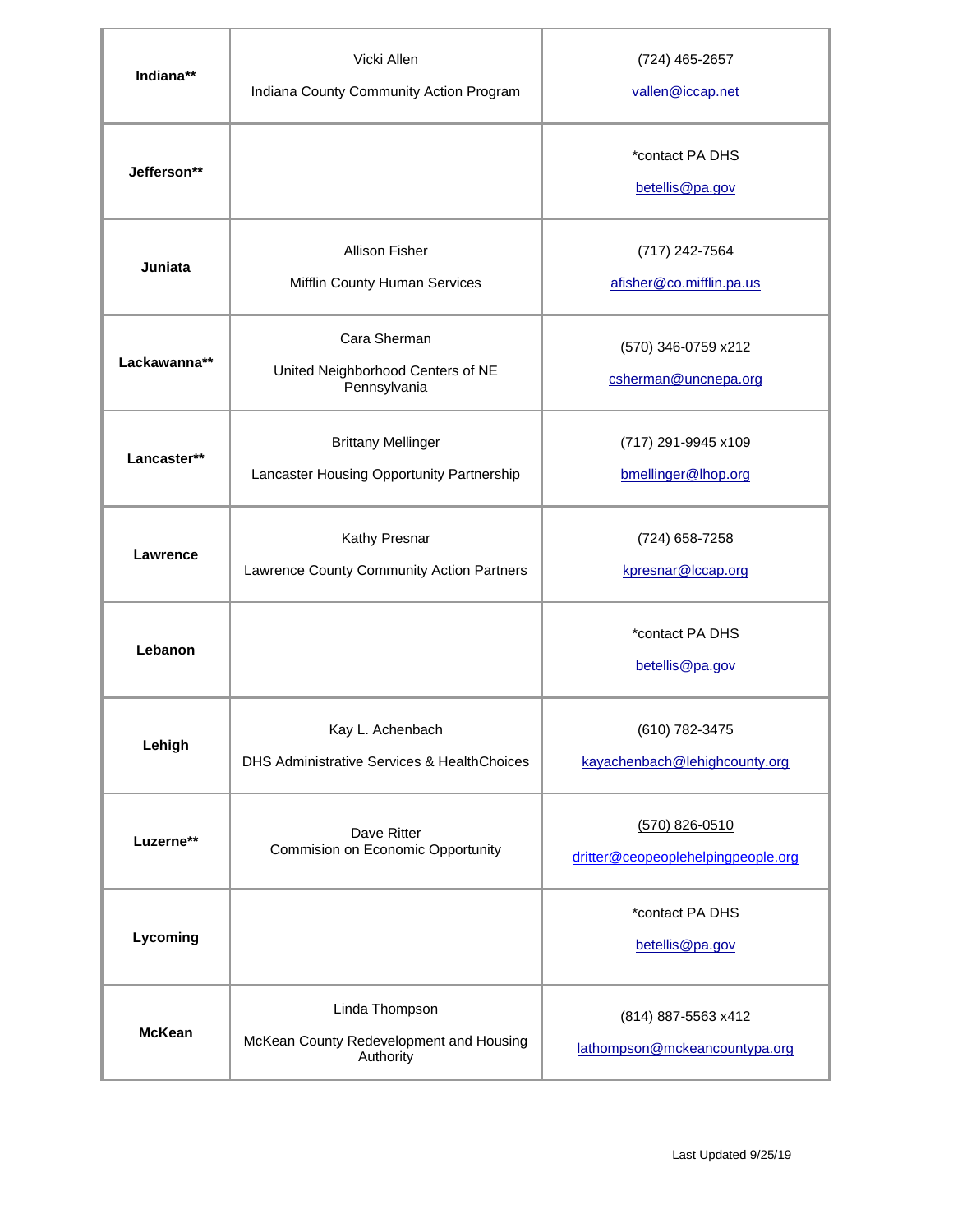| Indiana**     | Vicki Allen<br>Indiana County Community Action Program                 | (724) 465-2657<br>vallen@iccap.net                     |
|---------------|------------------------------------------------------------------------|--------------------------------------------------------|
| Jefferson**   |                                                                        | *contact PA DHS<br>betellis@pa.gov                     |
| Juniata       | <b>Allison Fisher</b><br>Mifflin County Human Services                 | (717) 242-7564<br>afisher@co.mifflin.pa.us             |
| Lackawanna**  | Cara Sherman<br>United Neighborhood Centers of NE<br>Pennsylvania      | (570) 346-0759 x212<br>csherman@uncnepa.org            |
| Lancaster**   | <b>Brittany Mellinger</b><br>Lancaster Housing Opportunity Partnership | (717) 291-9945 x109<br>bmellinger@lhop.org             |
| Lawrence      | Kathy Presnar<br>Lawrence County Community Action Partners             | (724) 658-7258<br>kpresnar@lccap.org                   |
| Lebanon       |                                                                        | *contact PA DHS<br>betellis@pa.gov                     |
| Lehigh        | Kay L. Achenbach<br>DHS Administrative Services & HealthChoices        | (610) 782-3475<br>kayachenbach@lehighcounty.org        |
| Luzerne**     | Dave Ritter<br>Commision on Economic Opportunity                       | $(570)$ 826-0510<br>dritter@ceopeoplehelpingpeople.org |
| Lycoming      |                                                                        | *contact PA DHS<br>betellis@pa.gov                     |
| <b>McKean</b> | Linda Thompson<br>McKean County Redevelopment and Housing<br>Authority | (814) 887-5563 x412<br>lathompson@mckeancountypa.org   |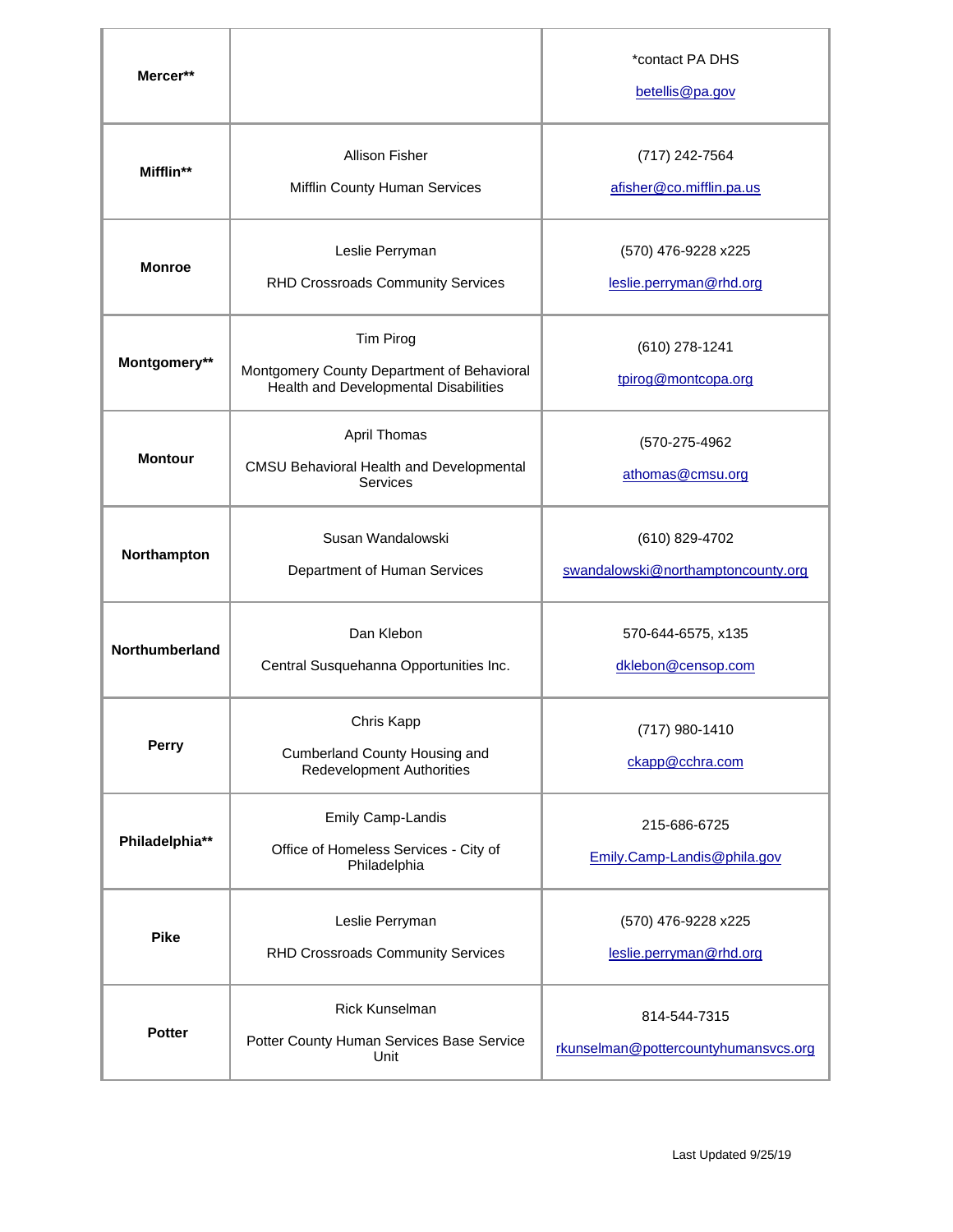| Mercer**       |                                                                                                  | *contact PA DHS<br>betellis@pa.gov                   |
|----------------|--------------------------------------------------------------------------------------------------|------------------------------------------------------|
| Mifflin**      | <b>Allison Fisher</b><br>Mifflin County Human Services                                           | (717) 242-7564<br>afisher@co.mifflin.pa.us           |
| <b>Monroe</b>  | Leslie Perryman<br>RHD Crossroads Community Services                                             | (570) 476-9228 x225<br>leslie.perryman@rhd.org       |
| Montgomery**   | Tim Pirog<br>Montgomery County Department of Behavioral<br>Health and Developmental Disabilities | (610) 278-1241<br>tpirog@montcopa.org                |
| <b>Montour</b> | April Thomas<br>CMSU Behavioral Health and Developmental<br>Services                             | (570-275-4962<br>athomas@cmsu.org                    |
| Northampton    | Susan Wandalowski<br>Department of Human Services                                                | (610) 829-4702<br>swandalowski@northamptoncounty.org |
| Northumberland | Dan Klebon<br>Central Susquehanna Opportunities Inc.                                             | 570-644-6575, x135<br>dklebon@censop.com             |
| Perry          | Chris Kapp<br>Cumberland County Housing and<br><b>Redevelopment Authorities</b>                  | (717) 980-1410<br>ckapp@cchra.com                    |
| Philadelphia** | Emily Camp-Landis<br>Office of Homeless Services - City of<br>Philadelphia                       | 215-686-6725<br>Emily.Camp-Landis@phila.gov          |
| <b>Pike</b>    | Leslie Perryman<br>RHD Crossroads Community Services                                             | (570) 476-9228 x225<br>leslie.perryman@rhd.org       |
| <b>Potter</b>  | <b>Rick Kunselman</b><br>Potter County Human Services Base Service<br>Unit                       | 814-544-7315<br>rkunselman@pottercountyhumansvcs.org |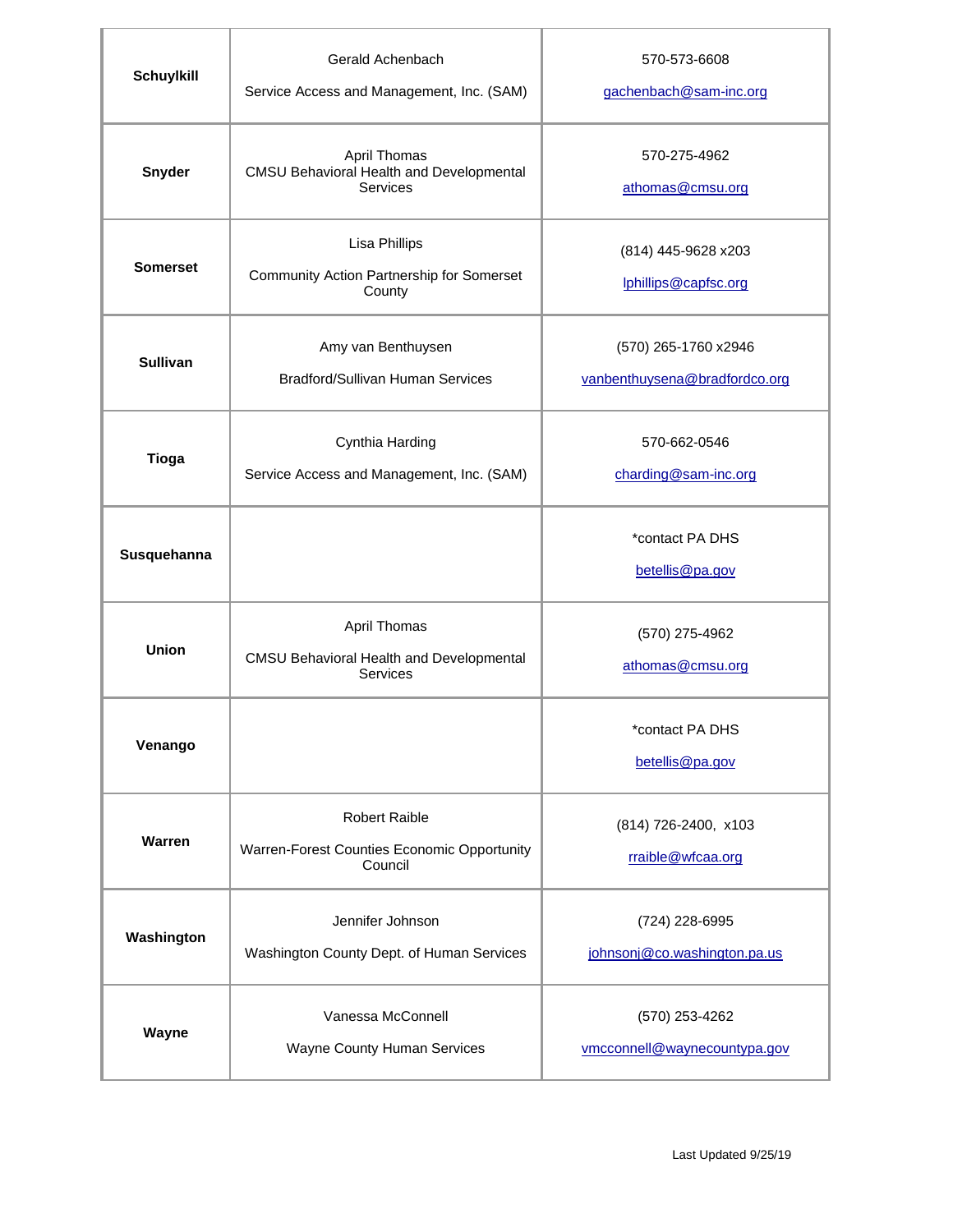| <b>Schuylkill</b> | Gerald Achenbach<br>Service Access and Management, Inc. (SAM)                  | 570-573-6608<br>gachenbach@sam-inc.org                |
|-------------------|--------------------------------------------------------------------------------|-------------------------------------------------------|
| <b>Snyder</b>     | April Thomas<br>CMSU Behavioral Health and Developmental<br>Services           | 570-275-4962<br>athomas@cmsu.org                      |
| <b>Somerset</b>   | <b>Lisa Phillips</b><br>Community Action Partnership for Somerset<br>County    | (814) 445-9628 x203<br>lphillips@capfsc.org           |
| <b>Sullivan</b>   | Amy van Benthuysen<br>Bradford/Sullivan Human Services                         | (570) 265-1760 x2946<br>vanbenthuysena@bradfordco.org |
| <b>Tioga</b>      | Cynthia Harding<br>Service Access and Management, Inc. (SAM)                   | 570-662-0546<br>charding@sam-inc.org                  |
| Susquehanna       |                                                                                | *contact PA DHS<br>betellis@pa.gov                    |
| Union             | April Thomas<br><b>CMSU Behavioral Health and Developmental</b><br>Services    | (570) 275-4962<br>athomas@cmsu.org                    |
| Venango           |                                                                                | *contact PA DHS<br>betellis@pa.gov                    |
| Warren            | <b>Robert Raible</b><br>Warren-Forest Counties Economic Opportunity<br>Council | (814) 726-2400, x103<br>rraible@wfcaa.org             |
| Washington        | Jennifer Johnson<br>Washington County Dept. of Human Services                  | (724) 228-6995<br>johnsonj@co.washington.pa.us        |
| Wayne             | Vanessa McConnell<br>Wayne County Human Services                               | (570) 253-4262<br>vmcconnell@waynecountypa.gov        |